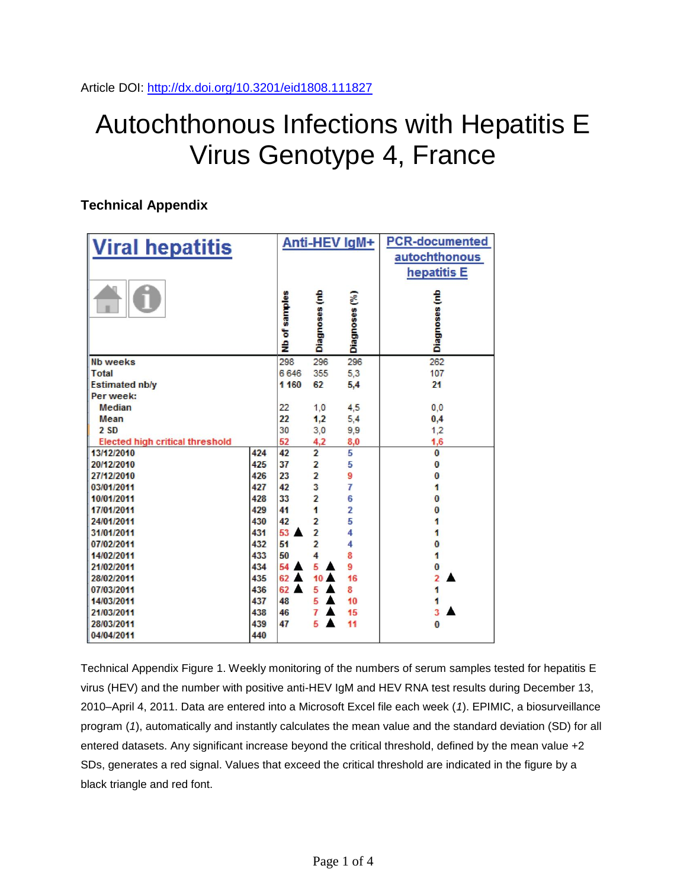## Autochthonous Infections with Hepatitis E Virus Genotype 4, France

## **Technical Appendix**

| <b>Viral hepatitis</b>                 |     | Anti-HEV IgM+  |                         |                | <b>PCR-documented</b>        |
|----------------------------------------|-----|----------------|-------------------------|----------------|------------------------------|
|                                        |     |                |                         |                | autochthonous<br>hepatitis E |
|                                        |     | Nb of samples  | Diagnoses (nb           | Diagnoses (%)  | Diagnoses (nb                |
| <b>Nb weeks</b>                        |     | 298            | 296                     | 296            | 262                          |
| <b>Total</b>                           |     | 6646           | 355                     | 5,3            | 107                          |
| <b>Estimated nb/y</b>                  |     | 1 160          | 62                      | 5,4            | 21                           |
| Per week:                              |     |                |                         |                |                              |
| <b>Median</b>                          |     | 22             | 1,0                     | 4,5            | 0,0                          |
| Mean                                   |     | 22             | 1,2                     | 5,4            | 0,4                          |
| 2 <sub>SD</sub>                        |     | 30             | 3,0                     | 9,9            | 1,2                          |
| <b>Elected high critical threshold</b> |     | 52             | 4,2                     | 8,0            | 1,6                          |
| 13/12/2010                             | 424 | 42             | $\overline{2}$          | 5              | $\bf{0}$                     |
| 20/12/2010                             | 425 | 37             | $\overline{\mathbf{2}}$ | 5              | $\bf{0}$                     |
| 27/12/2010                             | 426 | 23             | $\overline{2}$          | 9              | $\bf{0}$                     |
| 03/01/2011                             | 427 | 42             | 3                       | 7              | 1                            |
| 10/01/2011                             | 428 | 33             | $\overline{\mathbf{2}}$ | 6              | $\overline{0}$               |
| 17/01/2011                             | 429 | 41             | 1                       | $\overline{2}$ | $\bf{0}$                     |
| 24/01/2011                             | 430 | 42             | $\overline{2}$          | 5              | 1                            |
| 31/01/2011                             | 431 | 53             | $\overline{2}$          | 4              | 1                            |
| 07/02/2011                             | 432 | 51             | $\overline{2}$          | 4              | $\bf{0}$                     |
| 14/02/2011                             | 433 | 50             | $\overline{4}$          | 8              | $\overline{\mathbf{1}}$      |
| 21/02/2011                             | 434 | $54 \triangle$ | 5                       | 9              | $\bf{0}$                     |
| 28/02/2011                             | 435 | 62             | 10                      | 16             | $\overline{2}$               |
| 07/03/2011                             | 436 | 62             | 5                       | 8              | 1                            |
| 14/03/2011                             | 437 | 48             | 5                       | 10             | 1                            |
| 21/03/2011                             | 438 | 46             | 7                       | 15             | 3                            |
| 28/03/2011                             | 439 | 47             | 5                       | 11             | $\bf{0}$                     |
| 04/04/2011                             | 440 |                |                         |                |                              |

Technical Appendix Figure 1. Weekly monitoring of the numbers of serum samples tested for hepatitis E virus (HEV) and the number with positive anti-HEV IgM and HEV RNA test results during December 13, 2010–April 4, 2011. Data are entered into a Microsoft Excel file each week (*1*). EPIMIC, a biosurveillance program (*1*), automatically and instantly calculates the mean value and the standard deviation (SD) for all entered datasets. Any significant increase beyond the critical threshold, defined by the mean value +2 SDs, generates a red signal. Values that exceed the critical threshold are indicated in the figure by a black triangle and red font.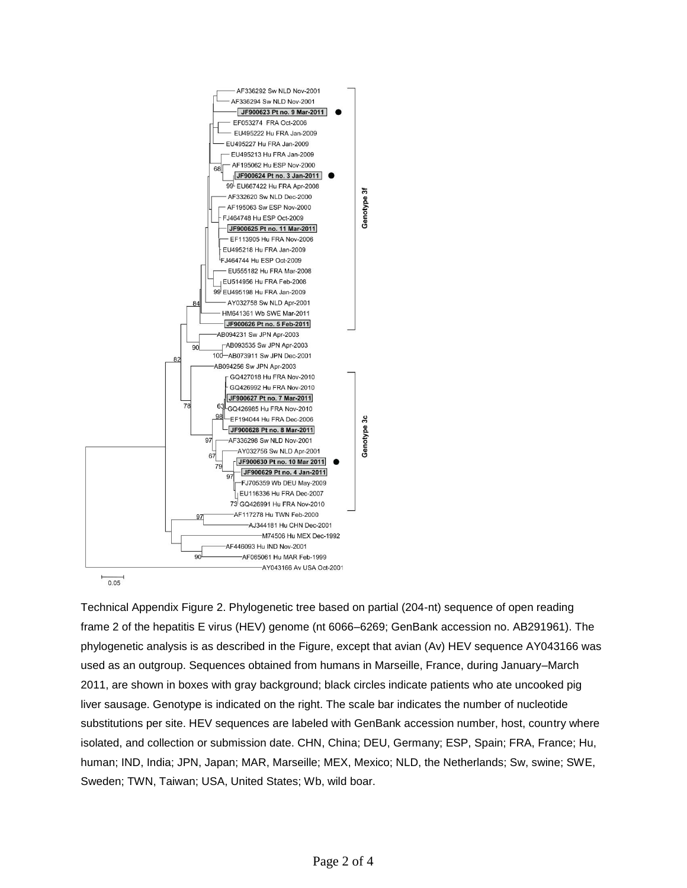

Technical Appendix Figure 2. Phylogenetic tree based on partial (204-nt) sequence of open reading frame 2 of the hepatitis E virus (HEV) genome (nt 6066–6269; GenBank accession no. AB291961). The phylogenetic analysis is as described in the Figure, except that avian (Av) HEV sequence AY043166 was used as an outgroup. Sequences obtained from humans in Marseille, France, during January–March 2011, are shown in boxes with gray background; black circles indicate patients who ate uncooked pig liver sausage. Genotype is indicated on the right. The scale bar indicates the number of nucleotide substitutions per site. HEV sequences are labeled with GenBank accession number, host, country where isolated, and collection or submission date. CHN, China; DEU, Germany; ESP, Spain; FRA, France; Hu, human; IND, India; JPN, Japan; MAR, Marseille; MEX, Mexico; NLD, the Netherlands; Sw, swine; SWE, Sweden; TWN, Taiwan; USA, United States; Wb, wild boar.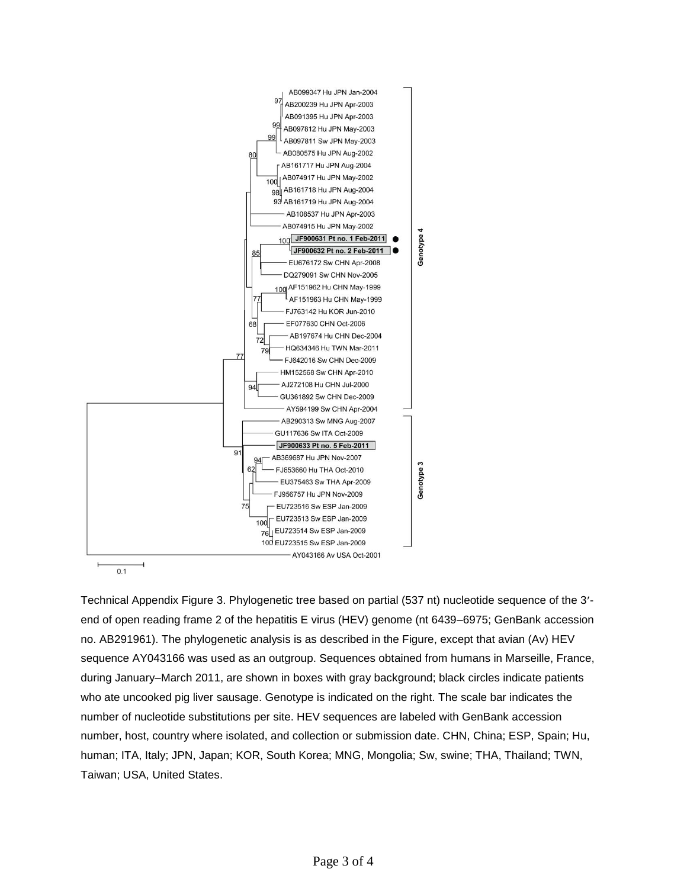

Technical Appendix Figure 3. Phylogenetic tree based on partial (537 nt) nucleotide sequence of the 3'end of open reading frame 2 of the hepatitis E virus (HEV) genome (nt 6439–6975; GenBank accession no. AB291961). The phylogenetic analysis is as described in the Figure, except that avian (Av) HEV sequence AY043166 was used as an outgroup. Sequences obtained from humans in Marseille, France, during January–March 2011, are shown in boxes with gray background; black circles indicate patients who ate uncooked pig liver sausage. Genotype is indicated on the right. The scale bar indicates the number of nucleotide substitutions per site. HEV sequences are labeled with GenBank accession number, host, country where isolated, and collection or submission date. CHN, China; ESP, Spain; Hu, human; ITA, Italy; JPN, Japan; KOR, South Korea; MNG, Mongolia; Sw, swine; THA, Thailand; TWN, Taiwan; USA, United States.